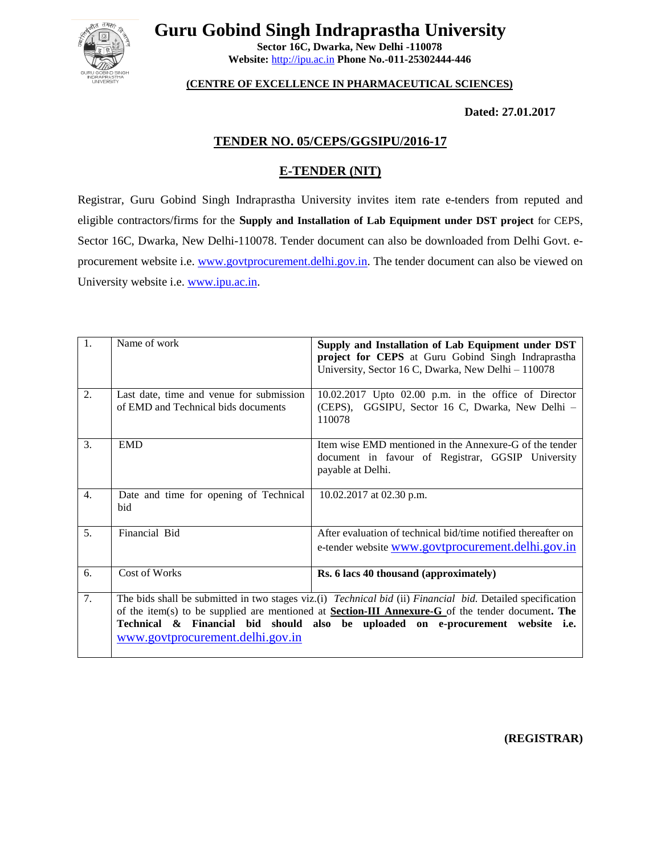

**Guru Gobind Singh Indraprastha University**

**Sector 16C, Dwarka, New Delhi -110078 Website:** [http://ipu.ac.in](http://ipu.ac.in/) **Phone No.-011-25302444-446**

# **(CENTRE OF EXCELLENCE IN PHARMACEUTICAL SCIENCES)**

**Dated: 27.01.2017**

# **TENDER NO. 05/CEPS/GGSIPU/2016-17**

# **E-TENDER (NIT)**

Registrar, Guru Gobind Singh Indraprastha University invites item rate e-tenders from reputed and eligible contractors/firms for the **Supply and Installation of Lab Equipment under DST project** for CEPS, Sector 16C, Dwarka, New Delhi-110078. Tender document can also be downloaded from Delhi Govt. eprocurement website i.e. [www.govtprocurement.delhi.gov.in.](http://www.govtprocurement.delhi..gov.in/) The tender document can also be viewed on University website i.e[. www.ipu.ac.in.](http://www.ipu.ac.in/)

| 1.               | Name of work                                                                    | Supply and Installation of Lab Equipment under DST<br>project for CEPS at Guru Gobind Singh Indraprastha<br>University, Sector 16 C, Dwarka, New Delhi - 110078                                                                                                                                           |
|------------------|---------------------------------------------------------------------------------|-----------------------------------------------------------------------------------------------------------------------------------------------------------------------------------------------------------------------------------------------------------------------------------------------------------|
| 2.               | Last date, time and venue for submission<br>of EMD and Technical bids documents | $10.02.2017$ Upto $02.00$ p.m. in the office of Director<br>(CEPS), GGSIPU, Sector 16 C, Dwarka, New Delhi -<br>110078                                                                                                                                                                                    |
| 3.               | <b>EMD</b>                                                                      | Item wise EMD mentioned in the Annexure-G of the tender<br>document in favour of Registrar, GGSIP University<br>payable at Delhi.                                                                                                                                                                         |
| $\overline{4}$ . | Date and time for opening of Technical<br>bid                                   | 10.02.2017 at 02.30 p.m.                                                                                                                                                                                                                                                                                  |
| 5.               | Financial Bid                                                                   | After evaluation of technical bid/time notified thereafter on<br>e-tender website <u>www.govtprocurement.delhi.gov.in</u>                                                                                                                                                                                 |
| 6.               | Cost of Works                                                                   | Rs. 6 lacs 40 thousand (approximately)                                                                                                                                                                                                                                                                    |
| 7.               | www.govtprocurement.delhi.gov.in                                                | The bids shall be submitted in two stages viz.(i) Technical bid (ii) Financial bid. Detailed specification<br>of the item(s) to be supplied are mentioned at <b>Section-III Annexure-G</b> of the tender document. The<br>Technical & Financial bid should also be uploaded on e-procurement website i.e. |

**(REGISTRAR)**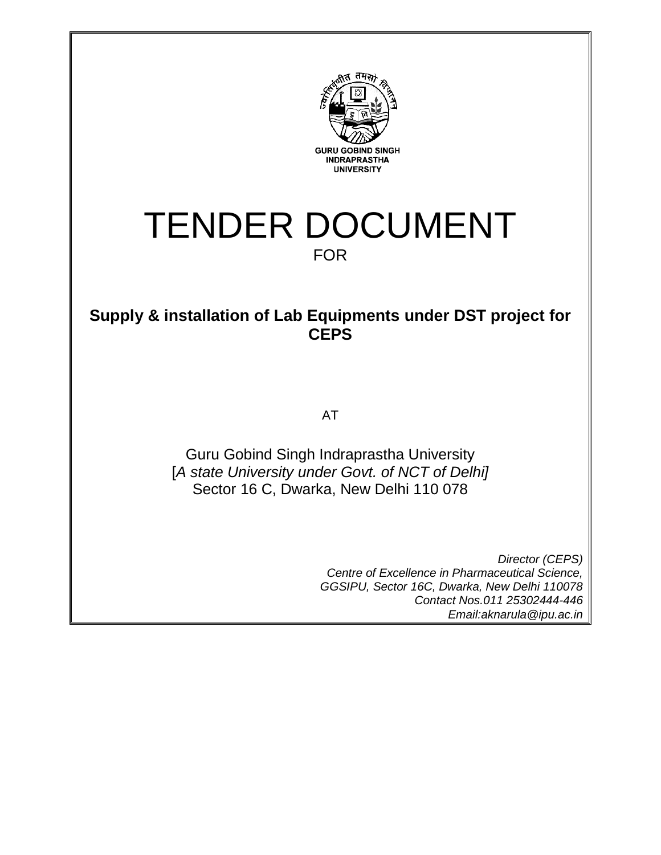

# TENDER DOCUMENT FOR

# **Supply & installation of Lab Equipments under DST project for CEPS**

AT

Guru Gobind Singh Indraprastha University [*A state University under Govt. of NCT of Delhi]* Sector 16 C, Dwarka, New Delhi 110 078

> *Director (CEPS) Centre of Excellence in Pharmaceutical Science, GGSIPU, Sector 16C, Dwarka, New Delhi 110078 Contact Nos.011 25302444-446 Email:aknarula@ipu.ac.in*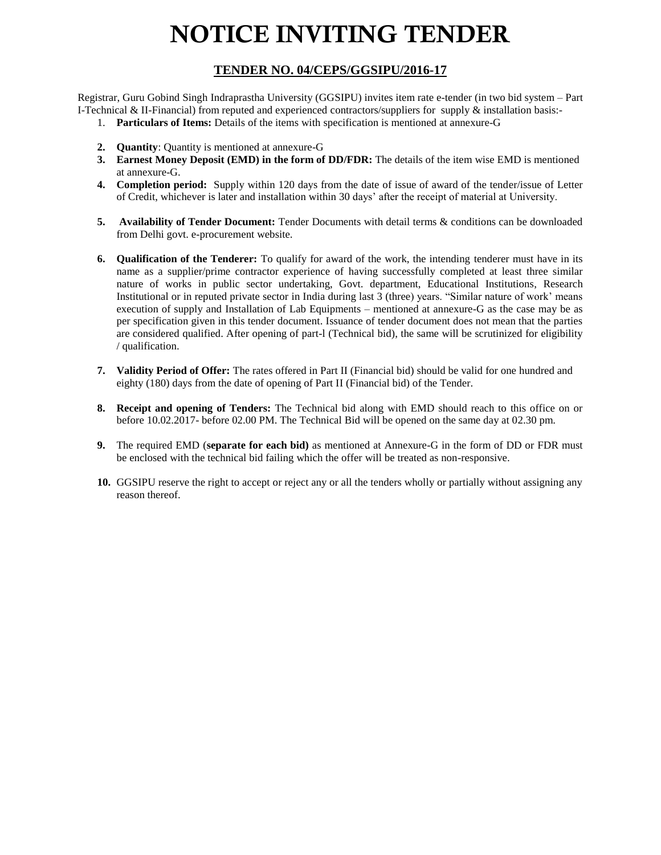# **NOTICE INVITING TENDER**

# **TENDER NO. 04/CEPS/GGSIPU/2016-17**

Registrar, Guru Gobind Singh Indraprastha University (GGSIPU) invites item rate e-tender (in two bid system – Part I-Technical & II-Financial) from reputed and experienced contractors/suppliers for supply & installation basis:-

- 1. **Particulars of Items:** Details of the items with specification is mentioned at annexure-G
- **2. Quantity**: Quantity is mentioned at annexure-G
- **3. Earnest Money Deposit (EMD) in the form of DD/FDR:** The details of the item wise EMD is mentioned at annexure-G.
- **4. Completion period:** Supply within 120 days from the date of issue of award of the tender/issue of Letter of Credit, whichever is later and installation within 30 days' after the receipt of material at University.
- **5. Availability of Tender Document:** Tender Documents with detail terms & conditions can be downloaded from Delhi govt. e-procurement website.
- **6. Qualification of the Tenderer:** To qualify for award of the work, the intending tenderer must have in its name as a supplier/prime contractor experience of having successfully completed at least three similar nature of works in public sector undertaking, Govt. department, Educational Institutions, Research Institutional or in reputed private sector in India during last 3 (three) years. "Similar nature of work' means execution of supply and Installation of Lab Equipments – mentioned at annexure-G as the case may be as per specification given in this tender document. Issuance of tender document does not mean that the parties are considered qualified. After opening of part-l (Technical bid), the same will be scrutinized for eligibility / qualification.
- **7. Validity Period of Offer:** The rates offered in Part II (Financial bid) should be valid for one hundred and eighty (180) days from the date of opening of Part II (Financial bid) of the Tender.
- **8. Receipt and opening of Tenders:** The Technical bid along with EMD should reach to this office on or before 10.02.2017- before 02.00 PM. The Technical Bid will be opened on the same day at 02.30 pm.
- **9.** The required EMD (**separate for each bid)** as mentioned at Annexure-G in the form of DD or FDR must be enclosed with the technical bid failing which the offer will be treated as non-responsive.
- **10.** GGSIPU reserve the right to accept or reject any or all the tenders wholly or partially without assigning any reason thereof.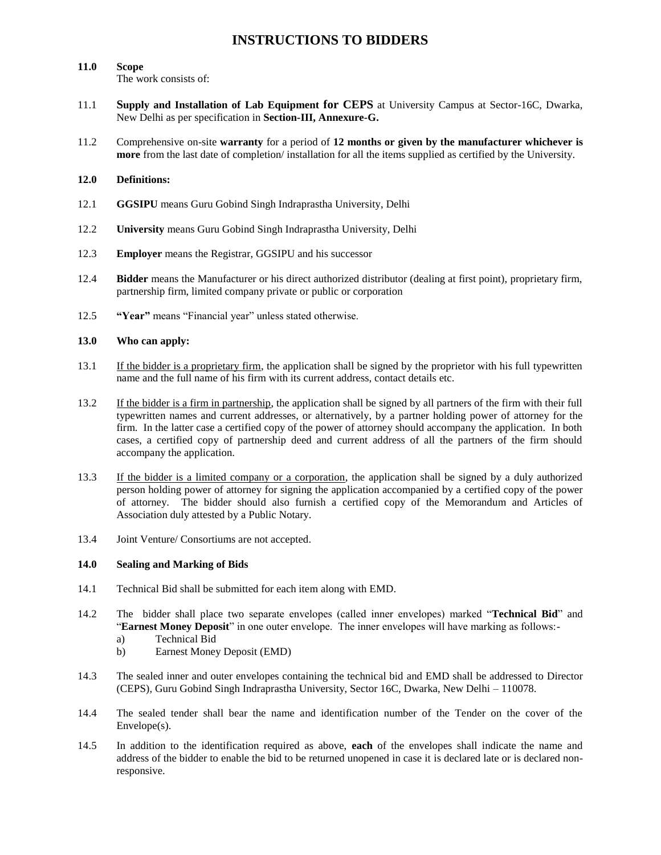# **INSTRUCTIONS TO BIDDERS**

# **11.0 Scope**

The work consists of:

- 11.1 **Supply and Installation of Lab Equipment for CEPS** at University Campus at Sector-16C, Dwarka, New Delhi as per specification in **Section-III, Annexure-G.**
- 11.2 Comprehensive on-site **warranty** for a period of **12 months or given by the manufacturer whichever is more** from the last date of completion/ installation for all the items supplied as certified by the University.

#### **12.0 Definitions:**

- 12.1 **GGSIPU** means Guru Gobind Singh Indraprastha University, Delhi
- 12.2 **University** means Guru Gobind Singh Indraprastha University, Delhi
- 12.3 **Employer** means the Registrar, GGSIPU and his successor
- 12.4 **Bidder** means the Manufacturer or his direct authorized distributor (dealing at first point), proprietary firm, partnership firm, limited company private or public or corporation
- 12.5 **"Year"** means "Financial year" unless stated otherwise.

#### **13.0 Who can apply:**

- 13.1 If the bidder is a proprietary firm, the application shall be signed by the proprietor with his full typewritten name and the full name of his firm with its current address, contact details etc.
- 13.2 If the bidder is a firm in partnership, the application shall be signed by all partners of the firm with their full typewritten names and current addresses, or alternatively, by a partner holding power of attorney for the firm. In the latter case a certified copy of the power of attorney should accompany the application. In both cases, a certified copy of partnership deed and current address of all the partners of the firm should accompany the application.
- 13.3 If the bidder is a limited company or a corporation, the application shall be signed by a duly authorized person holding power of attorney for signing the application accompanied by a certified copy of the power of attorney. The bidder should also furnish a certified copy of the Memorandum and Articles of Association duly attested by a Public Notary.
- 13.4 Joint Venture/ Consortiums are not accepted.

#### **14.0 Sealing and Marking of Bids**

- 14.1 Technical Bid shall be submitted for each item along with EMD.
- 14.2 The bidder shall place two separate envelopes (called inner envelopes) marked "**Technical Bid**" and "**Earnest Money Deposit**" in one outer envelope. The inner envelopes will have marking as follows:
	- a) Technical Bid
	- b) Earnest Money Deposit (EMD)
- 14.3 The sealed inner and outer envelopes containing the technical bid and EMD shall be addressed to Director (CEPS), Guru Gobind Singh Indraprastha University, Sector 16C, Dwarka, New Delhi – 110078.
- 14.4 The sealed tender shall bear the name and identification number of the Tender on the cover of the Envelope(s).
- 14.5 In addition to the identification required as above, **each** of the envelopes shall indicate the name and address of the bidder to enable the bid to be returned unopened in case it is declared late or is declared nonresponsive.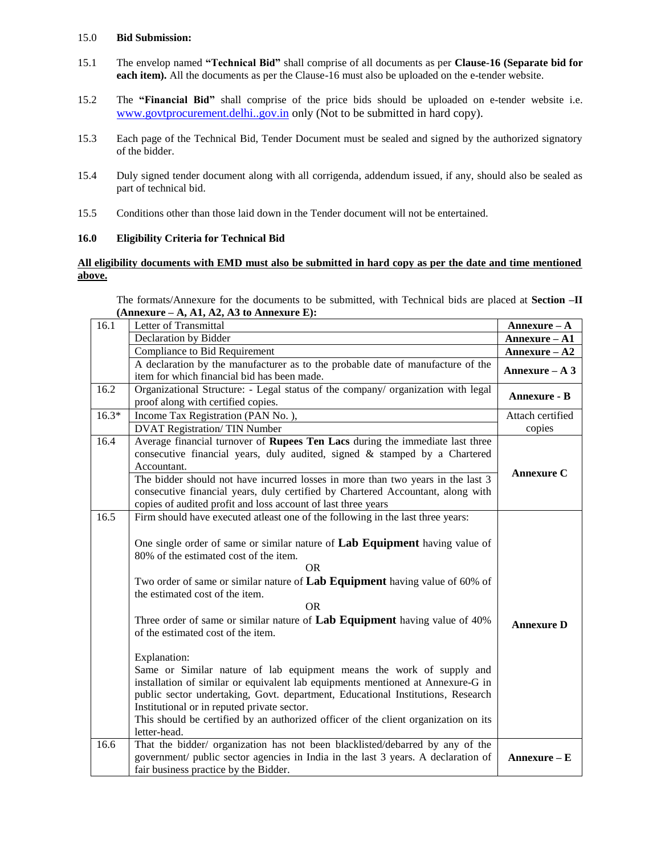#### 15.0 **Bid Submission:**

- 15.1 The envelop named **"Technical Bid"** shall comprise of all documents as per **Clause-16 (Separate bid for each item).** All the documents as per the Clause-16 must also be uploaded on the e-tender website.
- 15.2 The **"Financial Bid"** shall comprise of the price bids should be uploaded on e-tender website i.e. [www.govtprocurement.delhi..gov.in](http://www.govtprocurement.delhi..gov.in/) only (Not to be submitted in hard copy).
- 15.3 Each page of the Technical Bid, Tender Document must be sealed and signed by the authorized signatory of the bidder.
- 15.4 Duly signed tender document along with all corrigenda, addendum issued, if any, should also be sealed as part of technical bid.
- 15.5 Conditions other than those laid down in the Tender document will not be entertained.

#### **16.0 Eligibility Criteria for Technical Bid**

#### **All eligibility documents with EMD must also be submitted in hard copy as per the date and time mentioned above.**

The formats/Annexure for the documents to be submitted, with Technical bids are placed at **Section –II (Annexure – A, A1, A2, A3 to Annexure E):** 

| 16.1    | Letter of Transmittal                                                                               | $Annexure - A$    |
|---------|-----------------------------------------------------------------------------------------------------|-------------------|
|         | Declaration by Bidder                                                                               | Annexure - A1     |
|         | Compliance to Bid Requirement                                                                       | Annexure - A2     |
|         | A declaration by the manufacturer as to the probable date of manufacture of the                     | Annexure $- A 3$  |
|         | item for which financial bid has been made.                                                         |                   |
| 16.2    | Organizational Structure: - Legal status of the company/ organization with legal                    | Annexure - B      |
|         | proof along with certified copies.                                                                  |                   |
| $16.3*$ | Income Tax Registration (PAN No.),                                                                  | Attach certified  |
|         | <b>DVAT Registration/TIN Number</b>                                                                 | copies            |
| 16.4    | Average financial turnover of Rupees Ten Lacs during the immediate last three                       |                   |
|         | consecutive financial years, duly audited, signed & stamped by a Chartered                          |                   |
|         | Accountant.                                                                                         | <b>Annexure C</b> |
|         | The bidder should not have incurred losses in more than two years in the last 3                     |                   |
|         | consecutive financial years, duly certified by Chartered Accountant, along with                     |                   |
|         | copies of audited profit and loss account of last three years                                       |                   |
| 16.5    | Firm should have executed at least one of the following in the last three years:                    |                   |
|         |                                                                                                     |                   |
|         | One single order of same or similar nature of Lab Equipment having value of                         |                   |
|         | 80% of the estimated cost of the item.                                                              |                   |
|         | <b>OR</b>                                                                                           |                   |
|         | Two order of same or similar nature of Lab Equipment having value of 60% of                         |                   |
|         | the estimated cost of the item.                                                                     |                   |
|         | <b>OR</b>                                                                                           |                   |
|         | Three order of same or similar nature of Lab Equipment having value of 40%                          | <b>Annexure D</b> |
|         | of the estimated cost of the item.                                                                  |                   |
|         |                                                                                                     |                   |
|         | Explanation:                                                                                        |                   |
|         | Same or Similar nature of lab equipment means the work of supply and                                |                   |
|         | installation of similar or equivalent lab equipments mentioned at Annexure-G in                     |                   |
|         | public sector undertaking, Govt. department, Educational Institutions, Research                     |                   |
|         | Institutional or in reputed private sector.                                                         |                   |
|         | This should be certified by an authorized officer of the client organization on its<br>letter-head. |                   |
| 16.6    | That the bidder/ organization has not been blacklisted/debarred by any of the                       |                   |
|         | government/ public sector agencies in India in the last 3 years. A declaration of                   | $Annexure - E$    |
|         |                                                                                                     |                   |
|         | fair business practice by the Bidder.                                                               |                   |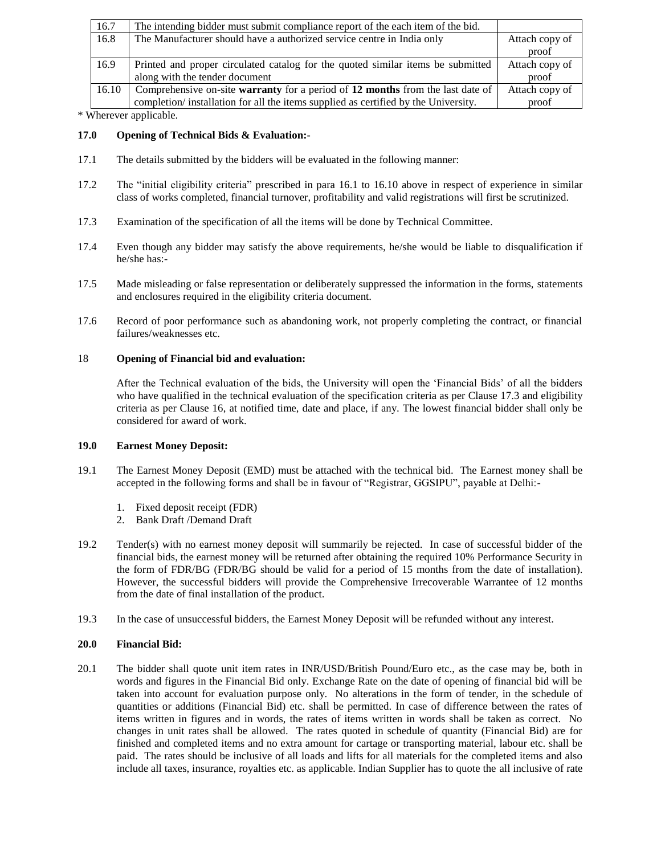| 16.7  | The intending bidder must submit compliance report of the each item of the bid.    |                |
|-------|------------------------------------------------------------------------------------|----------------|
| 16.8  | The Manufacturer should have a authorized service centre in India only             | Attach copy of |
|       |                                                                                    | proof          |
| 16.9  | Printed and proper circulated catalog for the quoted similar items be submitted    | Attach copy of |
|       | along with the tender document                                                     | proof          |
| 16.10 | Comprehensive on-site warranty for a period of 12 months from the last date of     | Attach copy of |
|       | completion/installation for all the items supplied as certified by the University. | proof          |

\* Wherever applicable.

#### **17.0 Opening of Technical Bids & Evaluation:-**

- 17.1 The details submitted by the bidders will be evaluated in the following manner:
- 17.2 The "initial eligibility criteria" prescribed in para 16.1 to 16.10 above in respect of experience in similar class of works completed, financial turnover, profitability and valid registrations will first be scrutinized.
- 17.3 Examination of the specification of all the items will be done by Technical Committee.
- 17.4 Even though any bidder may satisfy the above requirements, he/she would be liable to disqualification if he/she has:-
- 17.5 Made misleading or false representation or deliberately suppressed the information in the forms, statements and enclosures required in the eligibility criteria document.
- 17.6 Record of poor performance such as abandoning work, not properly completing the contract, or financial failures/weaknesses etc.

#### 18 **Opening of Financial bid and evaluation:**

After the Technical evaluation of the bids, the University will open the 'Financial Bids' of all the bidders who have qualified in the technical evaluation of the specification criteria as per Clause 17.3 and eligibility criteria as per Clause 16, at notified time, date and place, if any. The lowest financial bidder shall only be considered for award of work.

#### **19.0 Earnest Money Deposit:**

- 19.1 The Earnest Money Deposit (EMD) must be attached with the technical bid. The Earnest money shall be accepted in the following forms and shall be in favour of "Registrar, GGSIPU", payable at Delhi:-
	- 1. Fixed deposit receipt (FDR)
	- 2. Bank Draft /Demand Draft
- 19.2 Tender(s) with no earnest money deposit will summarily be rejected. In case of successful bidder of the financial bids, the earnest money will be returned after obtaining the required 10% Performance Security in the form of FDR/BG (FDR/BG should be valid for a period of 15 months from the date of installation). However, the successful bidders will provide the Comprehensive Irrecoverable Warrantee of 12 months from the date of final installation of the product.
- 19.3 In the case of unsuccessful bidders, the Earnest Money Deposit will be refunded without any interest.

#### **20.0 Financial Bid:**

20.1 The bidder shall quote unit item rates in INR/USD/British Pound/Euro etc., as the case may be, both in words and figures in the Financial Bid only. Exchange Rate on the date of opening of financial bid will be taken into account for evaluation purpose only. No alterations in the form of tender, in the schedule of quantities or additions (Financial Bid) etc. shall be permitted. In case of difference between the rates of items written in figures and in words, the rates of items written in words shall be taken as correct. No changes in unit rates shall be allowed. The rates quoted in schedule of quantity (Financial Bid) are for finished and completed items and no extra amount for cartage or transporting material, labour etc. shall be paid. The rates should be inclusive of all loads and lifts for all materials for the completed items and also include all taxes, insurance, royalties etc. as applicable. Indian Supplier has to quote the all inclusive of rate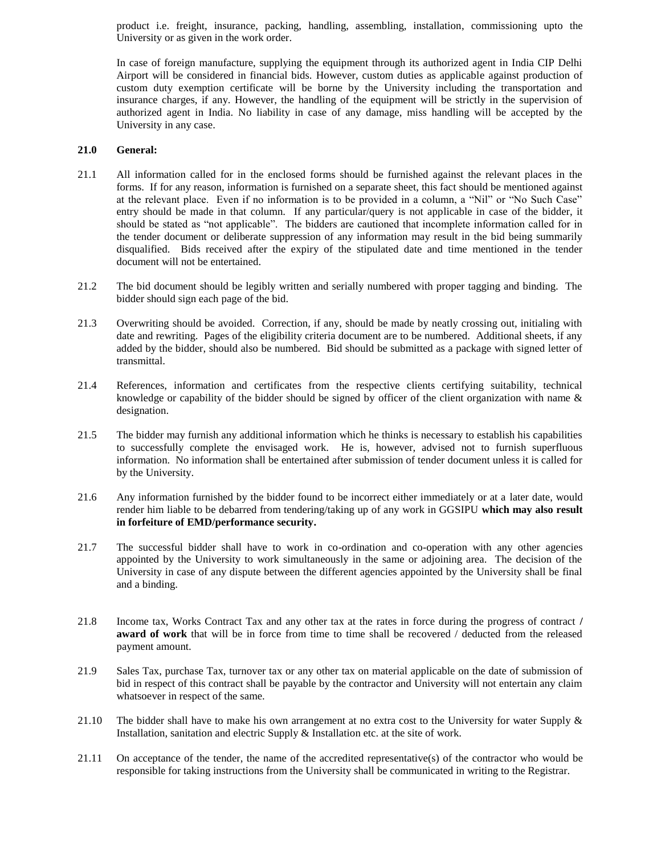product i.e. freight, insurance, packing, handling, assembling, installation, commissioning upto the University or as given in the work order.

In case of foreign manufacture, supplying the equipment through its authorized agent in India CIP Delhi Airport will be considered in financial bids. However, custom duties as applicable against production of custom duty exemption certificate will be borne by the University including the transportation and insurance charges, if any. However, the handling of the equipment will be strictly in the supervision of authorized agent in India. No liability in case of any damage, miss handling will be accepted by the University in any case.

#### **21.0 General:**

- 21.1 All information called for in the enclosed forms should be furnished against the relevant places in the forms. If for any reason, information is furnished on a separate sheet, this fact should be mentioned against at the relevant place. Even if no information is to be provided in a column, a "Nil" or "No Such Case" entry should be made in that column. If any particular/query is not applicable in case of the bidder, it should be stated as "not applicable". The bidders are cautioned that incomplete information called for in the tender document or deliberate suppression of any information may result in the bid being summarily disqualified. Bids received after the expiry of the stipulated date and time mentioned in the tender document will not be entertained.
- 21.2 The bid document should be legibly written and serially numbered with proper tagging and binding. The bidder should sign each page of the bid.
- 21.3 Overwriting should be avoided. Correction, if any, should be made by neatly crossing out, initialing with date and rewriting. Pages of the eligibility criteria document are to be numbered. Additional sheets, if any added by the bidder, should also be numbered. Bid should be submitted as a package with signed letter of transmittal.
- 21.4 References, information and certificates from the respective clients certifying suitability, technical knowledge or capability of the bidder should be signed by officer of the client organization with name  $\&$ designation.
- 21.5 The bidder may furnish any additional information which he thinks is necessary to establish his capabilities to successfully complete the envisaged work. He is, however, advised not to furnish superfluous information. No information shall be entertained after submission of tender document unless it is called for by the University.
- 21.6 Any information furnished by the bidder found to be incorrect either immediately or at a later date, would render him liable to be debarred from tendering/taking up of any work in GGSIPU **which may also result in forfeiture of EMD/performance security.**
- 21.7 The successful bidder shall have to work in co-ordination and co-operation with any other agencies appointed by the University to work simultaneously in the same or adjoining area. The decision of the University in case of any dispute between the different agencies appointed by the University shall be final and a binding.
- 21.8 Income tax, Works Contract Tax and any other tax at the rates in force during the progress of contract **/ award of work** that will be in force from time to time shall be recovered / deducted from the released payment amount.
- 21.9 Sales Tax, purchase Tax, turnover tax or any other tax on material applicable on the date of submission of bid in respect of this contract shall be payable by the contractor and University will not entertain any claim whatsoever in respect of the same.
- 21.10 The bidder shall have to make his own arrangement at no extra cost to the University for water Supply & Installation, sanitation and electric Supply & Installation etc. at the site of work.
- 21.11 On acceptance of the tender, the name of the accredited representative(s) of the contractor who would be responsible for taking instructions from the University shall be communicated in writing to the Registrar.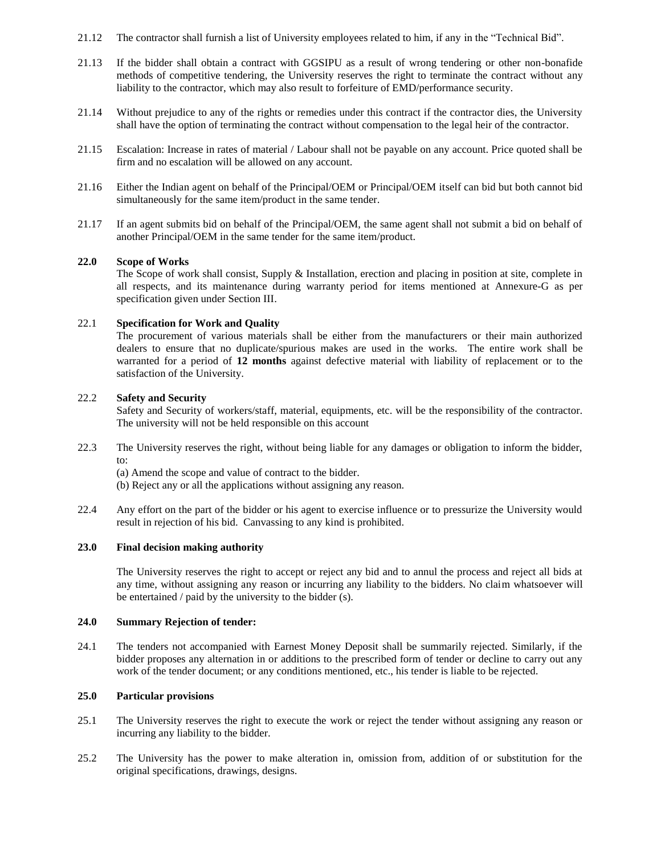- 21.12 The contractor shall furnish a list of University employees related to him, if any in the "Technical Bid".
- 21.13 If the bidder shall obtain a contract with GGSIPU as a result of wrong tendering or other non-bonafide methods of competitive tendering, the University reserves the right to terminate the contract without any liability to the contractor, which may also result to forfeiture of EMD/performance security.
- 21.14 Without prejudice to any of the rights or remedies under this contract if the contractor dies, the University shall have the option of terminating the contract without compensation to the legal heir of the contractor.
- 21.15 Escalation: Increase in rates of material / Labour shall not be payable on any account. Price quoted shall be firm and no escalation will be allowed on any account.
- 21.16 Either the Indian agent on behalf of the Principal/OEM or Principal/OEM itself can bid but both cannot bid simultaneously for the same item/product in the same tender.
- 21.17 If an agent submits bid on behalf of the Principal/OEM, the same agent shall not submit a bid on behalf of another Principal/OEM in the same tender for the same item/product.

#### **22.0 Scope of Works**

The Scope of work shall consist, Supply & Installation, erection and placing in position at site, complete in all respects, and its maintenance during warranty period for items mentioned at Annexure-G as per specification given under Section III.

#### 22.1 **Specification for Work and Quality**

The procurement of various materials shall be either from the manufacturers or their main authorized dealers to ensure that no duplicate/spurious makes are used in the works. The entire work shall be warranted for a period of **12 months** against defective material with liability of replacement or to the satisfaction of the University.

#### 22.2 **Safety and Security**

Safety and Security of workers/staff, material, equipments, etc. will be the responsibility of the contractor. The university will not be held responsible on this account

- 22.3 The University reserves the right, without being liable for any damages or obligation to inform the bidder, to:
	- (a) Amend the scope and value of contract to the bidder.
	- (b) Reject any or all the applications without assigning any reason.
- 22.4 Any effort on the part of the bidder or his agent to exercise influence or to pressurize the University would result in rejection of his bid. Canvassing to any kind is prohibited.

#### **23.0 Final decision making authority**

The University reserves the right to accept or reject any bid and to annul the process and reject all bids at any time, without assigning any reason or incurring any liability to the bidders. No claim whatsoever will be entertained / paid by the university to the bidder (s).

#### **24.0 Summary Rejection of tender:**

24.1 The tenders not accompanied with Earnest Money Deposit shall be summarily rejected. Similarly, if the bidder proposes any alternation in or additions to the prescribed form of tender or decline to carry out any work of the tender document; or any conditions mentioned, etc., his tender is liable to be rejected.

#### **25.0 Particular provisions**

- 25.1 The University reserves the right to execute the work or reject the tender without assigning any reason or incurring any liability to the bidder.
- 25.2 The University has the power to make alteration in, omission from, addition of or substitution for the original specifications, drawings, designs.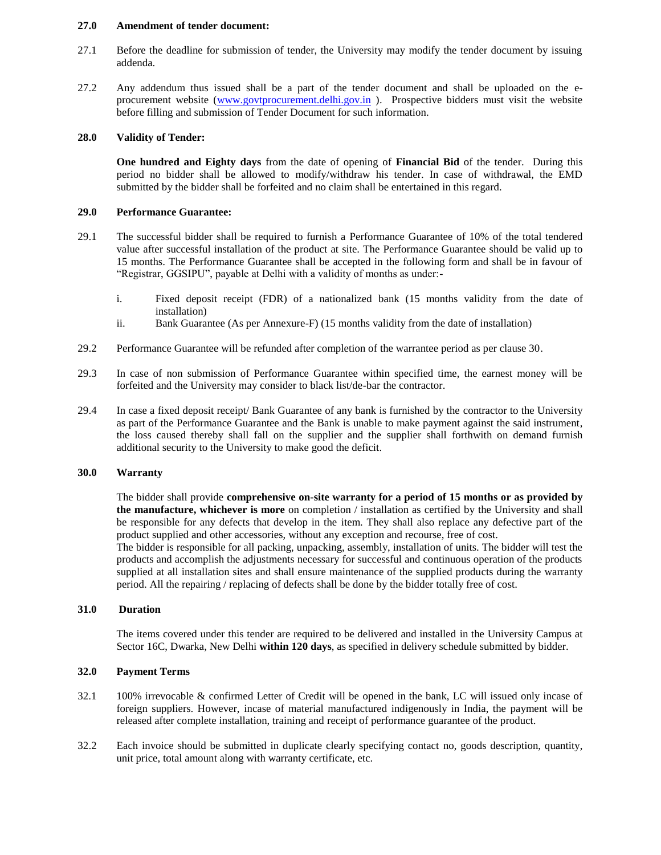#### **27.0 Amendment of tender document:**

- 27.1 Before the deadline for submission of tender, the University may modify the tender document by issuing addenda.
- 27.2 Any addendum thus issued shall be a part of the tender document and shall be uploaded on the e-procurement website [\(www.govtprocurement.delhi.gov.in](http://www.govtprocurement.delhi.gov.in/)). Prospective bidders must visit the website before filling and submission of Tender Document for such information.

#### **28.0 Validity of Tender:**

**One hundred and Eighty days** from the date of opening of **Financial Bid** of the tender. During this period no bidder shall be allowed to modify/withdraw his tender. In case of withdrawal, the EMD submitted by the bidder shall be forfeited and no claim shall be entertained in this regard.

#### **29.0 Performance Guarantee:**

- 29.1 The successful bidder shall be required to furnish a Performance Guarantee of 10% of the total tendered value after successful installation of the product at site. The Performance Guarantee should be valid up to 15 months. The Performance Guarantee shall be accepted in the following form and shall be in favour of "Registrar, GGSIPU", payable at Delhi with a validity of months as under:
	- i. Fixed deposit receipt (FDR) of a nationalized bank (15 months validity from the date of installation)
	- ii. Bank Guarantee (As per Annexure-F) (15 months validity from the date of installation)
- 29.2 Performance Guarantee will be refunded after completion of the warrantee period as per clause 30.
- 29.3 In case of non submission of Performance Guarantee within specified time, the earnest money will be forfeited and the University may consider to black list/de-bar the contractor.
- 29.4 In case a fixed deposit receipt/ Bank Guarantee of any bank is furnished by the contractor to the University as part of the Performance Guarantee and the Bank is unable to make payment against the said instrument, the loss caused thereby shall fall on the supplier and the supplier shall forthwith on demand furnish additional security to the University to make good the deficit.

#### **30.0 Warranty**

The bidder shall provide **comprehensive on-site warranty for a period of 15 months or as provided by the manufacture, whichever is more** on completion / installation as certified by the University and shall be responsible for any defects that develop in the item. They shall also replace any defective part of the product supplied and other accessories, without any exception and recourse, free of cost.

The bidder is responsible for all packing, unpacking, assembly, installation of units. The bidder will test the products and accomplish the adjustments necessary for successful and continuous operation of the products supplied at all installation sites and shall ensure maintenance of the supplied products during the warranty period. All the repairing / replacing of defects shall be done by the bidder totally free of cost.

#### **31.0 Duration**

The items covered under this tender are required to be delivered and installed in the University Campus at Sector 16C, Dwarka, New Delhi **within 120 days**, as specified in delivery schedule submitted by bidder.

#### **32.0 Payment Terms**

- 32.1 100% irrevocable & confirmed Letter of Credit will be opened in the bank, LC will issued only incase of foreign suppliers. However, incase of material manufactured indigenously in India, the payment will be released after complete installation, training and receipt of performance guarantee of the product.
- 32.2 Each invoice should be submitted in duplicate clearly specifying contact no, goods description, quantity, unit price, total amount along with warranty certificate, etc.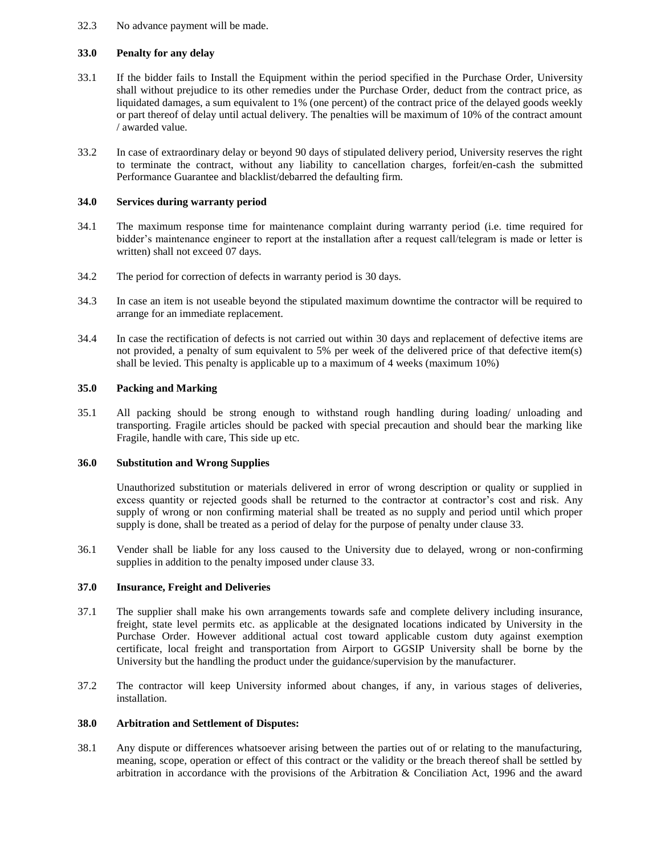#### 32.3 No advance payment will be made.

#### **33.0 Penalty for any delay**

- 33.1 If the bidder fails to Install the Equipment within the period specified in the Purchase Order, University shall without prejudice to its other remedies under the Purchase Order, deduct from the contract price, as liquidated damages, a sum equivalent to 1% (one percent) of the contract price of the delayed goods weekly or part thereof of delay until actual delivery. The penalties will be maximum of 10% of the contract amount / awarded value.
- 33.2 In case of extraordinary delay or beyond 90 days of stipulated delivery period, University reserves the right to terminate the contract, without any liability to cancellation charges, forfeit/en-cash the submitted Performance Guarantee and blacklist/debarred the defaulting firm.

#### **34.0 Services during warranty period**

- 34.1 The maximum response time for maintenance complaint during warranty period (i.e. time required for bidder's maintenance engineer to report at the installation after a request call/telegram is made or letter is written) shall not exceed 07 days.
- 34.2 The period for correction of defects in warranty period is 30 days.
- 34.3 In case an item is not useable beyond the stipulated maximum downtime the contractor will be required to arrange for an immediate replacement.
- 34.4 In case the rectification of defects is not carried out within 30 days and replacement of defective items are not provided, a penalty of sum equivalent to 5% per week of the delivered price of that defective item(s) shall be levied. This penalty is applicable up to a maximum of 4 weeks (maximum 10%)

#### **35.0 Packing and Marking**

35.1 All packing should be strong enough to withstand rough handling during loading/ unloading and transporting. Fragile articles should be packed with special precaution and should bear the marking like Fragile, handle with care, This side up etc.

#### **36.0 Substitution and Wrong Supplies**

Unauthorized substitution or materials delivered in error of wrong description or quality or supplied in excess quantity or rejected goods shall be returned to the contractor at contractor's cost and risk. Any supply of wrong or non confirming material shall be treated as no supply and period until which proper supply is done, shall be treated as a period of delay for the purpose of penalty under clause 33.

36.1 Vender shall be liable for any loss caused to the University due to delayed, wrong or non-confirming supplies in addition to the penalty imposed under clause 33.

#### **37.0 Insurance, Freight and Deliveries**

- 37.1 The supplier shall make his own arrangements towards safe and complete delivery including insurance, freight, state level permits etc. as applicable at the designated locations indicated by University in the Purchase Order. However additional actual cost toward applicable custom duty against exemption certificate, local freight and transportation from Airport to GGSIP University shall be borne by the University but the handling the product under the guidance/supervision by the manufacturer.
- 37.2 The contractor will keep University informed about changes, if any, in various stages of deliveries, installation.

#### **38.0 Arbitration and Settlement of Disputes:**

38.1 Any dispute or differences whatsoever arising between the parties out of or relating to the manufacturing, meaning, scope, operation or effect of this contract or the validity or the breach thereof shall be settled by arbitration in accordance with the provisions of the Arbitration & Conciliation Act, 1996 and the award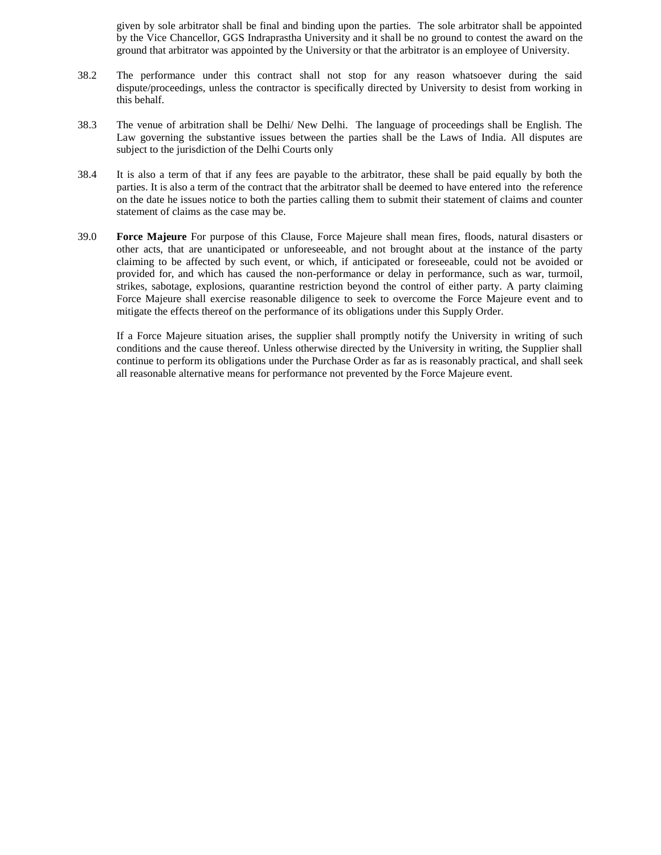given by sole arbitrator shall be final and binding upon the parties. The sole arbitrator shall be appointed by the Vice Chancellor, GGS Indraprastha University and it shall be no ground to contest the award on the ground that arbitrator was appointed by the University or that the arbitrator is an employee of University.

- 38.2 The performance under this contract shall not stop for any reason whatsoever during the said dispute/proceedings, unless the contractor is specifically directed by University to desist from working in this behalf.
- 38.3 The venue of arbitration shall be Delhi/ New Delhi. The language of proceedings shall be English. The Law governing the substantive issues between the parties shall be the Laws of India. All disputes are subject to the jurisdiction of the Delhi Courts only
- 38.4 It is also a term of that if any fees are payable to the arbitrator, these shall be paid equally by both the parties. It is also a term of the contract that the arbitrator shall be deemed to have entered into the reference on the date he issues notice to both the parties calling them to submit their statement of claims and counter statement of claims as the case may be.
- 39.0 **Force Majeure** For purpose of this Clause, Force Majeure shall mean fires, floods, natural disasters or other acts, that are unanticipated or unforeseeable, and not brought about at the instance of the party claiming to be affected by such event, or which, if anticipated or foreseeable, could not be avoided or provided for, and which has caused the non-performance or delay in performance, such as war, turmoil, strikes, sabotage, explosions, quarantine restriction beyond the control of either party. A party claiming Force Majeure shall exercise reasonable diligence to seek to overcome the Force Majeure event and to mitigate the effects thereof on the performance of its obligations under this Supply Order.

If a Force Majeure situation arises, the supplier shall promptly notify the University in writing of such conditions and the cause thereof. Unless otherwise directed by the University in writing, the Supplier shall continue to perform its obligations under the Purchase Order as far as is reasonably practical, and shall seek all reasonable alternative means for performance not prevented by the Force Majeure event.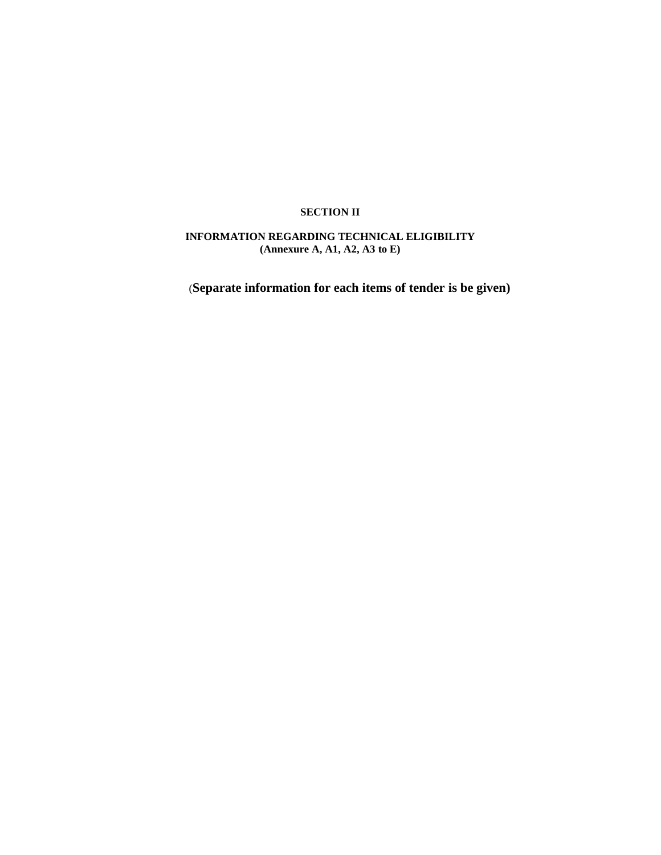#### **SECTION II**

# **INFORMATION REGARDING TECHNICAL ELIGIBILITY (Annexure A, A1, A2, A3 to E)**

(**Separate information for each items of tender is be given)**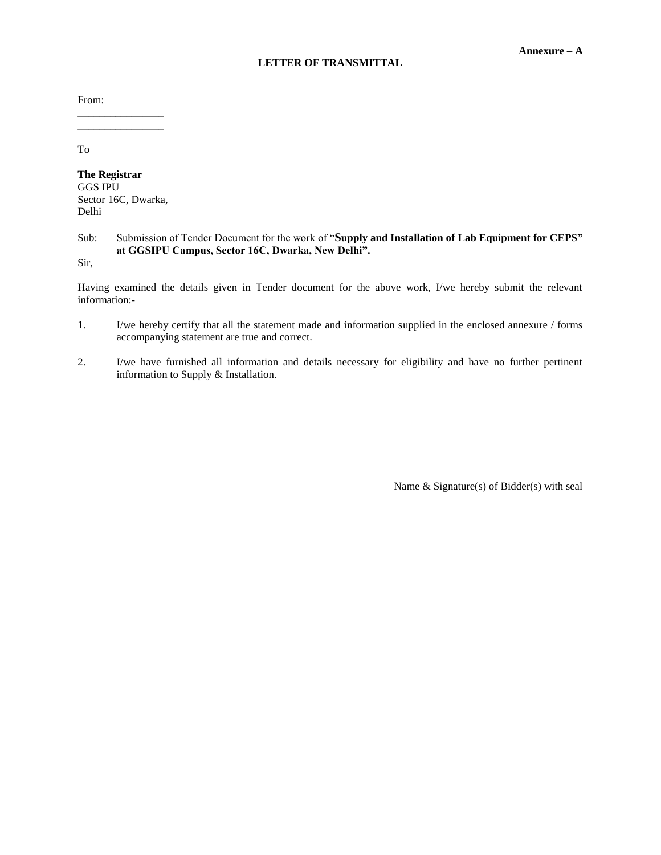#### **LETTER OF TRANSMITTAL**

From:

\_\_\_\_\_\_\_\_\_\_\_\_\_\_\_\_ \_\_\_\_\_\_\_\_\_\_\_\_\_\_\_\_

To

**The Registrar** GGS IPU Sector 16C, Dwarka, Delhi

## Sub: Submission of Tender Document for the work of "**Supply and Installation of Lab Equipment for CEPS" at GGSIPU Campus, Sector 16C, Dwarka, New Delhi".**

Sir,

Having examined the details given in Tender document for the above work, I/we hereby submit the relevant information:-

- 1. I/we hereby certify that all the statement made and information supplied in the enclosed annexure / forms accompanying statement are true and correct.
- 2. I/we have furnished all information and details necessary for eligibility and have no further pertinent information to Supply & Installation.

Name & Signature(s) of Bidder(s) with seal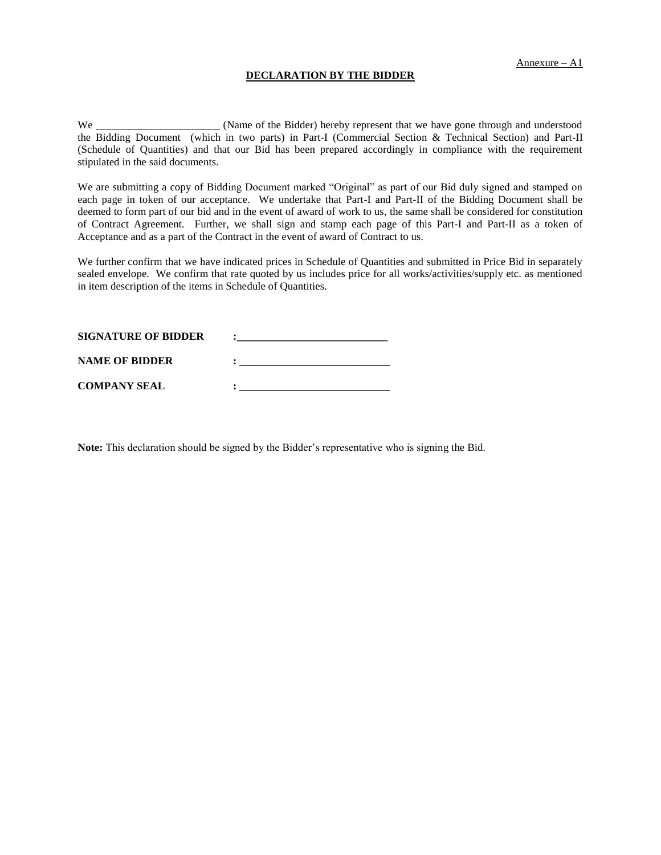#### **DECLARATION BY THE BIDDER**

We \_\_\_\_\_\_\_\_\_\_\_\_\_\_\_\_\_\_\_\_\_\_\_\_\_\_\_ (Name of the Bidder) hereby represent that we have gone through and understood the Bidding Document (which in two parts) in Part-I (Commercial Section & Technical Section) and Part-II (Schedule of Quantities) and that our Bid has been prepared accordingly in compliance with the requirement stipulated in the said documents.

We are submitting a copy of Bidding Document marked "Original" as part of our Bid duly signed and stamped on each page in token of our acceptance. We undertake that Part-I and Part-II of the Bidding Document shall be deemed to form part of our bid and in the event of award of work to us, the same shall be considered for constitution of Contract Agreement. Further, we shall sign and stamp each page of this Part-I and Part-II as a token of Acceptance and as a part of the Contract in the event of award of Contract to us.

We further confirm that we have indicated prices in Schedule of Quantities and submitted in Price Bid in separately sealed envelope. We confirm that rate quoted by us includes price for all works/activities/supply etc. as mentioned in item description of the items in Schedule of Quantities.

| <b>SIGNATURE OF BIDDER</b> |  |
|----------------------------|--|
| <b>NAME OF BIDDER</b>      |  |
| <b>COMPANY SEAL</b>        |  |

**Note:** This declaration should be signed by the Bidder's representative who is signing the Bid.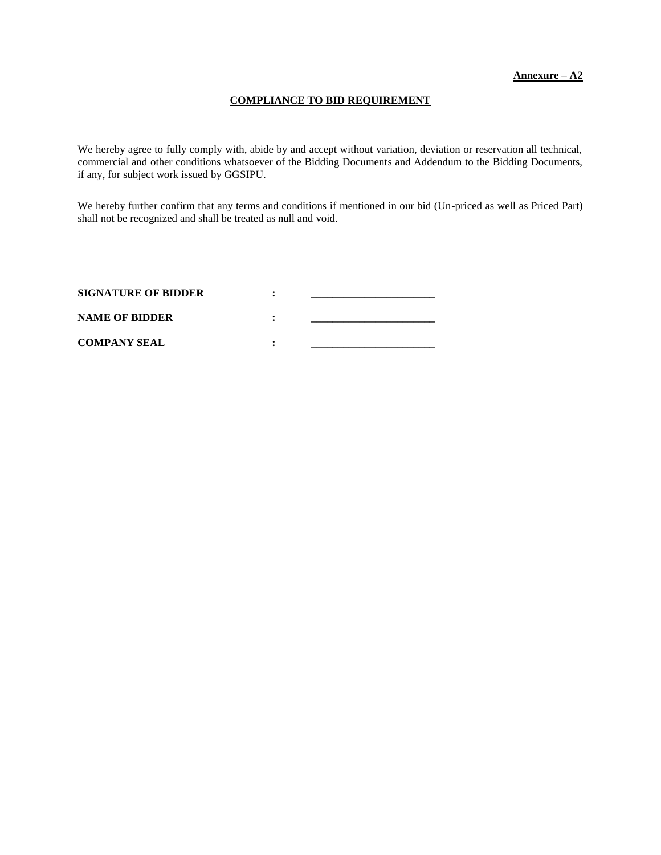#### **COMPLIANCE TO BID REQUIREMENT**

We hereby agree to fully comply with, abide by and accept without variation, deviation or reservation all technical, commercial and other conditions whatsoever of the Bidding Documents and Addendum to the Bidding Documents, if any, for subject work issued by GGSIPU.

We hereby further confirm that any terms and conditions if mentioned in our bid (Un-priced as well as Priced Part) shall not be recognized and shall be treated as null and void.

| <b>SIGNATURE OF BIDDER</b> |  |
|----------------------------|--|
| <b>NAME OF BIDDER</b>      |  |
| <b>COMPANY SEAL</b>        |  |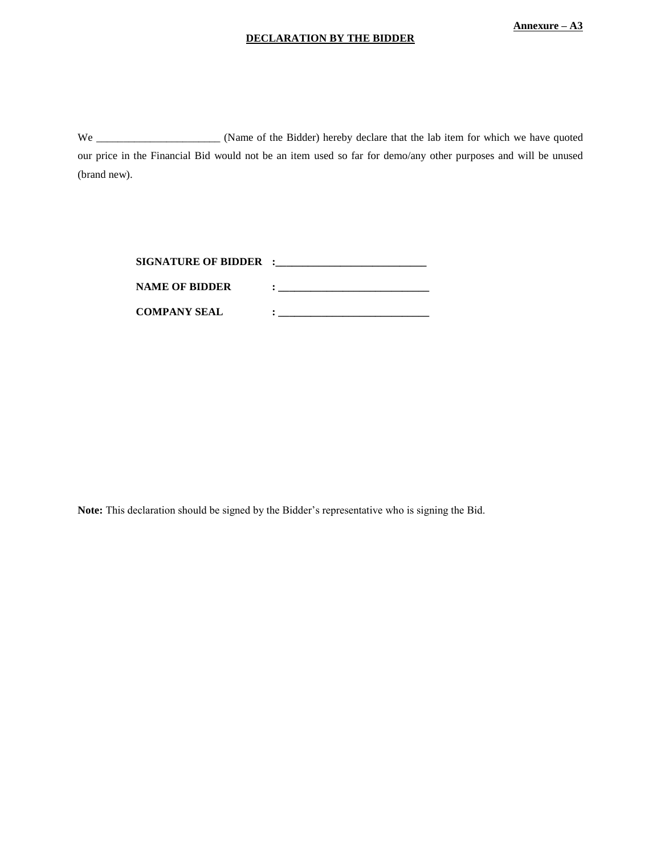#### **DECLARATION BY THE BIDDER**

We \_\_\_\_\_\_\_\_\_\_\_\_\_\_\_\_\_\_\_\_\_\_\_\_\_ (Name of the Bidder) hereby declare that the lab item for which we have quoted our price in the Financial Bid would not be an item used so far for demo/any other purposes and will be unused (brand new).

| SIGNATURE OF BIDDER : |  |
|-----------------------|--|
| <b>NAME OF BIDDER</b> |  |
| <b>COMPANY SEAL</b>   |  |

**Note:** This declaration should be signed by the Bidder's representative who is signing the Bid.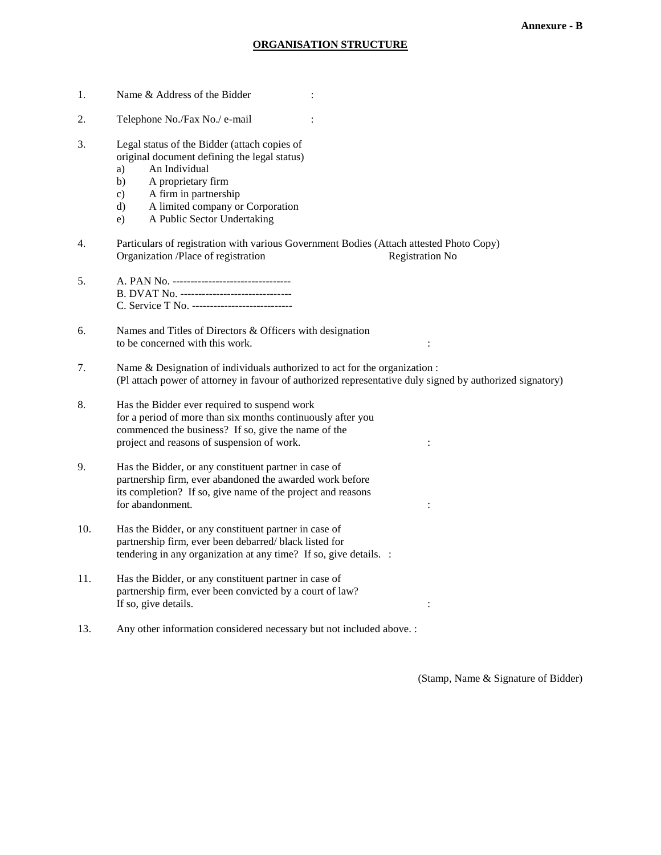### **ORGANISATION STRUCTURE**

| 1.  | Name & Address of the Bidder                                                                                                                                                                                                                                                  |
|-----|-------------------------------------------------------------------------------------------------------------------------------------------------------------------------------------------------------------------------------------------------------------------------------|
| 2.  | Telephone No./Fax No./ e-mail                                                                                                                                                                                                                                                 |
| 3.  | Legal status of the Bidder (attach copies of<br>original document defining the legal status)<br>An Individual<br>a)<br>A proprietary firm<br>b)<br>A firm in partnership<br>$\mathbf{c})$<br>A limited company or Corporation<br>$\rm d$<br>A Public Sector Undertaking<br>e) |
| 4.  | Particulars of registration with various Government Bodies (Attach attested Photo Copy)<br>Organization /Place of registration<br><b>Registration No</b>                                                                                                                      |
| 5.  | B. DVAT No. --------------------------------<br>C. Service T No. -----------------------------                                                                                                                                                                                |
| 6.  | Names and Titles of Directors & Officers with designation<br>to be concerned with this work.                                                                                                                                                                                  |
| 7.  | Name & Designation of individuals authorized to act for the organization :<br>(Pl attach power of attorney in favour of authorized representative duly signed by authorized signatory)                                                                                        |
| 8.  | Has the Bidder ever required to suspend work<br>for a period of more than six months continuously after you<br>commenced the business? If so, give the name of the<br>project and reasons of suspension of work.                                                              |
| 9.  | Has the Bidder, or any constituent partner in case of<br>partnership firm, ever abandoned the awarded work before<br>its completion? If so, give name of the project and reasons<br>for abandonment.                                                                          |
| 10. | Has the Bidder, or any constituent partner in case of<br>partnership firm, ever been debarred/ black listed for<br>tendering in any organization at any time? If so, give details. :                                                                                          |
| 11. | Has the Bidder, or any constituent partner in case of<br>partnership firm, ever been convicted by a court of law?<br>If so, give details.                                                                                                                                     |
| 13. | Any other information considered necessary but not included above. :                                                                                                                                                                                                          |

(Stamp, Name & Signature of Bidder)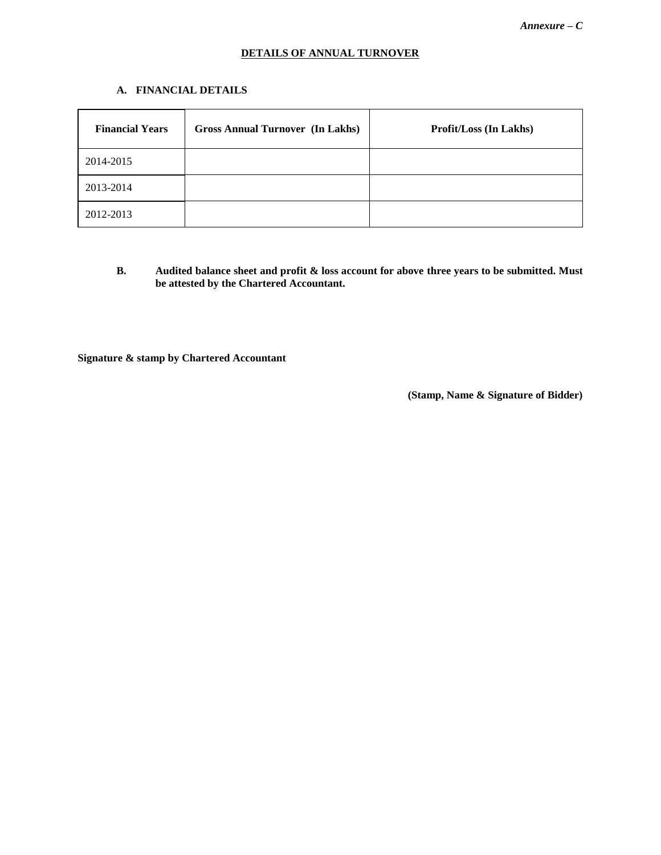# **DETAILS OF ANNUAL TURNOVER**

# **A. FINANCIAL DETAILS**

| <b>Financial Years</b> | <b>Gross Annual Turnover (In Lakhs)</b> | <b>Profit/Loss (In Lakhs)</b> |
|------------------------|-----------------------------------------|-------------------------------|
| 2014-2015              |                                         |                               |
| 2013-2014              |                                         |                               |
| 2012-2013              |                                         |                               |

**B. Audited balance sheet and profit & loss account for above three years to be submitted. Must be attested by the Chartered Accountant.**

**Signature & stamp by Chartered Accountant**

 **(Stamp, Name & Signature of Bidder)**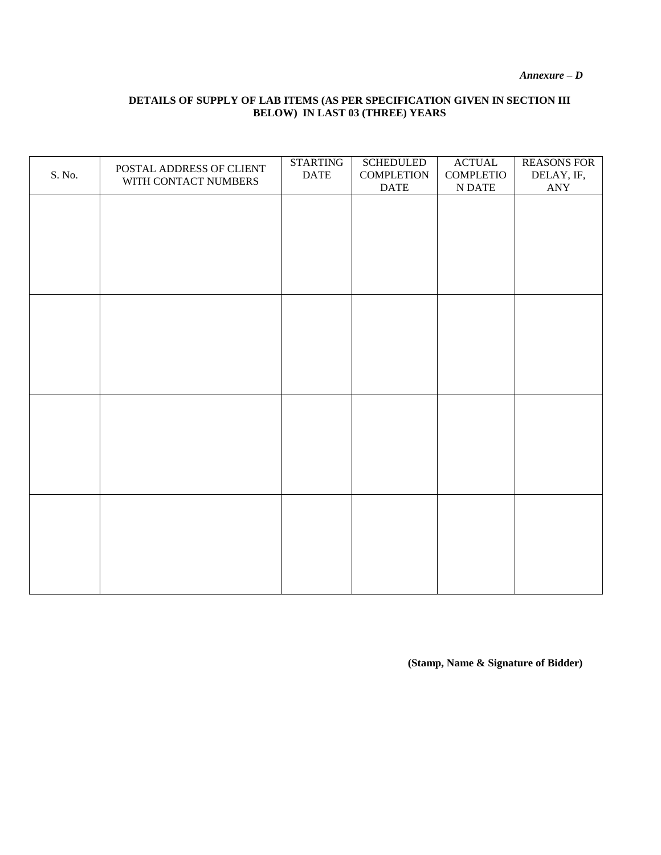*Annexure – D*

# **DETAILS OF SUPPLY OF LAB ITEMS (AS PER SPECIFICATION GIVEN IN SECTION III BELOW) IN LAST 03 (THREE) YEARS**

| S. No. | POSTAL ADDRESS OF CLIENT<br>WITH CONTACT NUMBERS | <b>STARTING</b><br><b>DATE</b> | <b>SCHEDULED</b><br><b>COMPLETION</b> | $\overline{\text{ACTUAL}}$<br><b>COMPLETIO</b> | <b>REASONS FOR</b><br>DELAY, IF, |
|--------|--------------------------------------------------|--------------------------------|---------------------------------------|------------------------------------------------|----------------------------------|
|        |                                                  |                                | $\mathop{\mathrm{DATE}}$              | $\mathbf N$ DATE                               | $\mathbf{ANY}$                   |
|        |                                                  |                                |                                       |                                                |                                  |
|        |                                                  |                                |                                       |                                                |                                  |
|        |                                                  |                                |                                       |                                                |                                  |
|        |                                                  |                                |                                       |                                                |                                  |
|        |                                                  |                                |                                       |                                                |                                  |
|        |                                                  |                                |                                       |                                                |                                  |
|        |                                                  |                                |                                       |                                                |                                  |
|        |                                                  |                                |                                       |                                                |                                  |
|        |                                                  |                                |                                       |                                                |                                  |
|        |                                                  |                                |                                       |                                                |                                  |
|        |                                                  |                                |                                       |                                                |                                  |
|        |                                                  |                                |                                       |                                                |                                  |
|        |                                                  |                                |                                       |                                                |                                  |
|        |                                                  |                                |                                       |                                                |                                  |
|        |                                                  |                                |                                       |                                                |                                  |
|        |                                                  |                                |                                       |                                                |                                  |
|        |                                                  |                                |                                       |                                                |                                  |
|        |                                                  |                                |                                       |                                                |                                  |
|        |                                                  |                                |                                       |                                                |                                  |
|        |                                                  |                                |                                       |                                                |                                  |
|        |                                                  |                                |                                       |                                                |                                  |
|        |                                                  |                                |                                       |                                                |                                  |
|        |                                                  |                                |                                       |                                                |                                  |
|        |                                                  |                                |                                       |                                                |                                  |
|        |                                                  |                                |                                       |                                                |                                  |
|        |                                                  |                                |                                       |                                                |                                  |

**(Stamp, Name & Signature of Bidder)**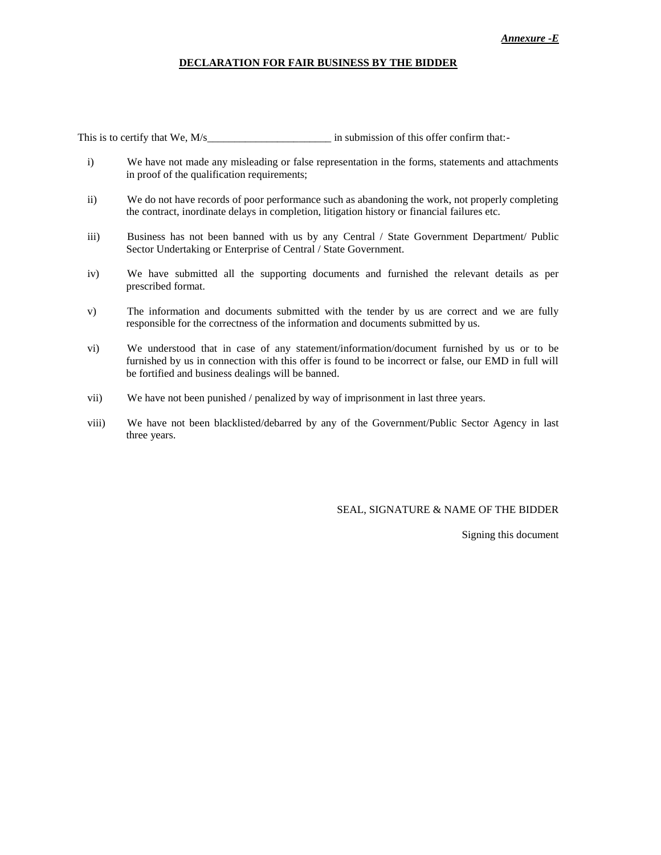#### *Annexure -E*

#### **DECLARATION FOR FAIR BUSINESS BY THE BIDDER**

This is to certify that We, M/s and in submission of this offer confirm that:-

- i) We have not made any misleading or false representation in the forms, statements and attachments in proof of the qualification requirements;
- ii) We do not have records of poor performance such as abandoning the work, not properly completing the contract, inordinate delays in completion, litigation history or financial failures etc.
- iii) Business has not been banned with us by any Central / State Government Department/ Public Sector Undertaking or Enterprise of Central / State Government.
- iv) We have submitted all the supporting documents and furnished the relevant details as per prescribed format.
- v) The information and documents submitted with the tender by us are correct and we are fully responsible for the correctness of the information and documents submitted by us.
- vi) We understood that in case of any statement/information/document furnished by us or to be furnished by us in connection with this offer is found to be incorrect or false, our EMD in full will be fortified and business dealings will be banned.
- vii) We have not been punished / penalized by way of imprisonment in last three years.
- viii) We have not been blacklisted/debarred by any of the Government/Public Sector Agency in last three years.

SEAL, SIGNATURE & NAME OF THE BIDDER

Signing this document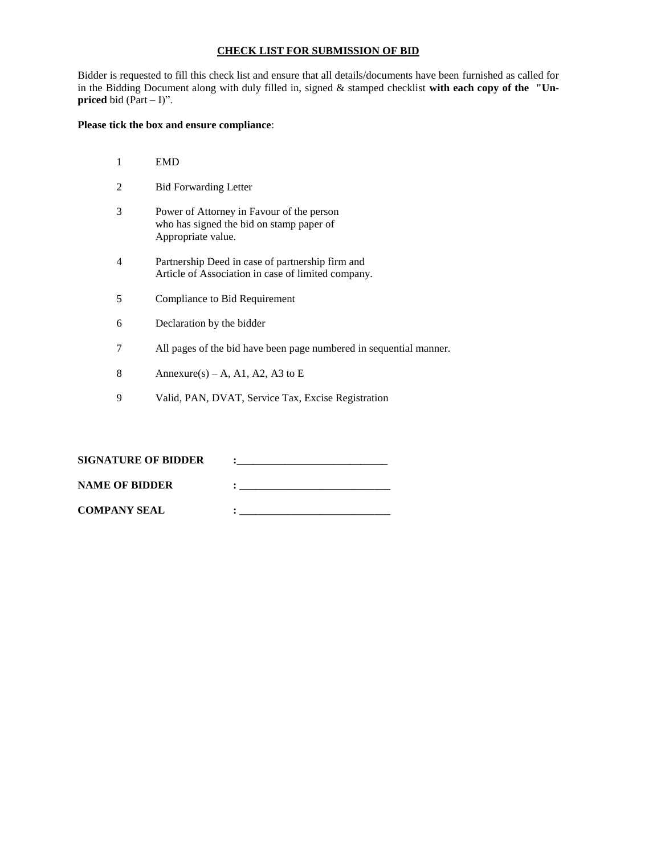#### **CHECK LIST FOR SUBMISSION OF BID**

Bidder is requested to fill this check list and ensure that all details/documents have been furnished as called for in the Bidding Document along with duly filled in, signed & stamped checklist **with each copy of the "Unpriced** bid  $(Part - I)$ ".

#### **Please tick the box and ensure compliance**:

|   | <b>EMD</b>                                                                                                  |
|---|-------------------------------------------------------------------------------------------------------------|
|   | <b>Bid Forwarding Letter</b>                                                                                |
| 3 | Power of Attorney in Favour of the person<br>who has signed the bid on stamp paper of<br>Appropriate value. |
| 4 | Partnership Deed in case of partnership firm and<br>Article of Association in case of limited company.      |
| 5 | Compliance to Bid Requirement                                                                               |
| 6 | Declaration by the bidder                                                                                   |
|   | All pages of the bid have been page numbered in sequential manner.                                          |
| 8 | Annexure(s) – A, A1, A2, A3 to E                                                                            |

9 Valid, PAN, DVAT, Service Tax, Excise Registration

| <b>SIGNATURE OF BIDDER</b> |  |
|----------------------------|--|
| <b>NAME OF BIDDER</b>      |  |
| <b>COMPANY SEAL</b>        |  |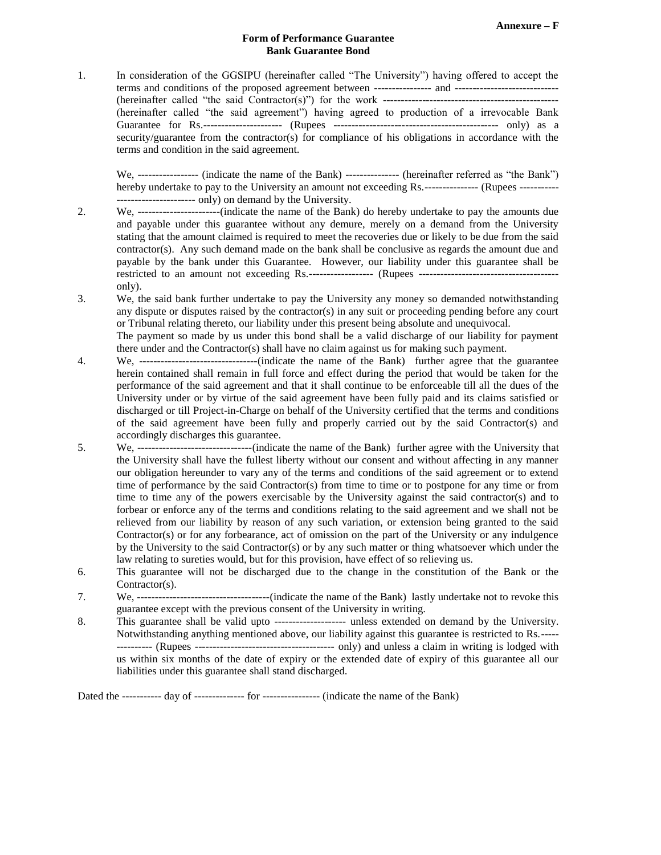#### **Form of Performance Guarantee Bank Guarantee Bond**

1. In consideration of the GGSIPU (hereinafter called "The University") having offered to accept the terms and conditions of the proposed agreement between ---------------- and ----------------------------- (hereinafter called "the said Contractor(s)") for the work ------------------------------------------------- (hereinafter called "the said agreement") having agreed to production of a irrevocable Bank Guarantee for Rs.---------------------- (Rupees ---------------------------------------------- only) as a security/guarantee from the contractor(s) for compliance of his obligations in accordance with the terms and condition in the said agreement.

We, ----------------- (indicate the name of the Bank) --------------- (hereinafter referred as "the Bank") hereby undertake to pay to the University an amount not exceeding Rs.--------------- (Rupees ---------------------------------- only) on demand by the University.

- 2. We, -----------------------(indicate the name of the Bank) do hereby undertake to pay the amounts due and payable under this guarantee without any demure, merely on a demand from the University stating that the amount claimed is required to meet the recoveries due or likely to be due from the said contractor(s). Any such demand made on the bank shall be conclusive as regards the amount due and payable by the bank under this Guarantee. However, our liability under this guarantee shall be restricted to an amount not exceeding Rs.------------------ (Rupees -------------------------------------- only).
- 3. We, the said bank further undertake to pay the University any money so demanded notwithstanding any dispute or disputes raised by the contractor(s) in any suit or proceeding pending before any court or Tribunal relating thereto, our liability under this present being absolute and unequivocal.

The payment so made by us under this bond shall be a valid discharge of our liability for payment there under and the Contractor(s) shall have no claim against us for making such payment.

- 4. We, ---------------------------------(indicate the name of the Bank) further agree that the guarantee herein contained shall remain in full force and effect during the period that would be taken for the performance of the said agreement and that it shall continue to be enforceable till all the dues of the University under or by virtue of the said agreement have been fully paid and its claims satisfied or discharged or till Project-in-Charge on behalf of the University certified that the terms and conditions of the said agreement have been fully and properly carried out by the said Contractor(s) and accordingly discharges this guarantee.
- 5. We, --------------------------------(indicate the name of the Bank) further agree with the University that the University shall have the fullest liberty without our consent and without affecting in any manner our obligation hereunder to vary any of the terms and conditions of the said agreement or to extend time of performance by the said Contractor(s) from time to time or to postpone for any time or from time to time any of the powers exercisable by the University against the said contractor(s) and to forbear or enforce any of the terms and conditions relating to the said agreement and we shall not be relieved from our liability by reason of any such variation, or extension being granted to the said Contractor(s) or for any forbearance, act of omission on the part of the University or any indulgence by the University to the said Contractor(s) or by any such matter or thing whatsoever which under the law relating to sureties would, but for this provision, have effect of so relieving us.
- 6. This guarantee will not be discharged due to the change in the constitution of the Bank or the Contractor(s).
- 7. We, -------------------------------------(indicate the name of the Bank) lastly undertake not to revoke this guarantee except with the previous consent of the University in writing.
- 8. This guarantee shall be valid upto -------------------- unless extended on demand by the University. Notwithstanding anything mentioned above, our liability against this guarantee is restricted to Rs.----- ---------- (Rupees --------------------------------------- only) and unless a claim in writing is lodged with us within six months of the date of expiry or the extended date of expiry of this guarantee all our liabilities under this guarantee shall stand discharged.

Dated the ----------- day of -------------- for ---------------- (indicate the name of the Bank)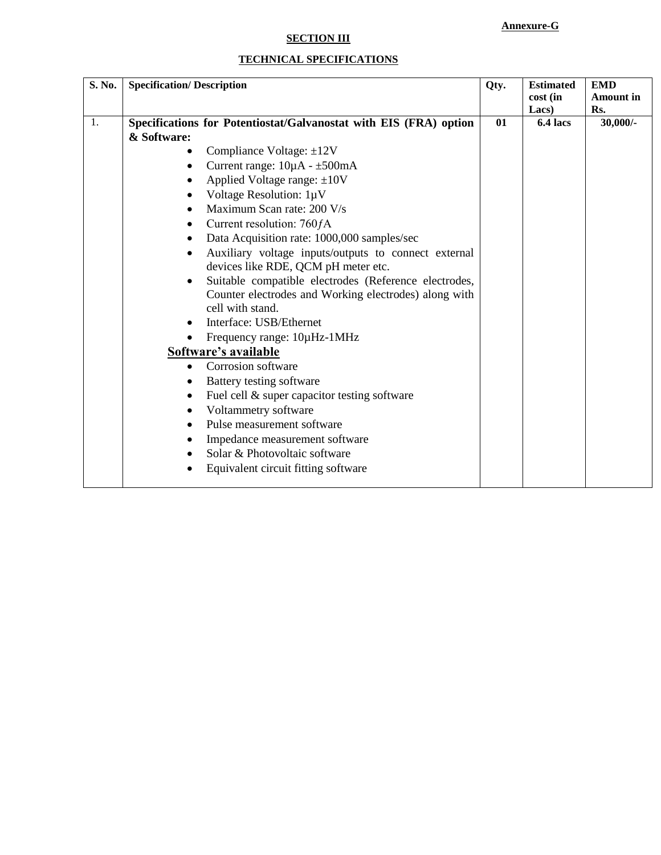# **Annexure-G**

# **SECTION III**

# **TECHNICAL SPECIFICATIONS**

| S. No. | <b>Specification/ Description</b>                                  | Qty. | <b>Estimated</b><br>cost (in<br>Lacs) | <b>EMD</b><br><b>Amount in</b><br>Rs. |
|--------|--------------------------------------------------------------------|------|---------------------------------------|---------------------------------------|
| 1.     | Specifications for Potentiostat/Galvanostat with EIS (FRA) option  | 01   | 6.4 lacs                              | $30,000/$ -                           |
|        | & Software:                                                        |      |                                       |                                       |
|        | Compliance Voltage: $\pm 12V$<br>$\bullet$                         |      |                                       |                                       |
|        | Current range: $10\mu A - \pm 500$ mA<br>$\bullet$                 |      |                                       |                                       |
|        | Applied Voltage range: $\pm 10V$                                   |      |                                       |                                       |
|        | Voltage Resolution: 1µV<br>$\bullet$                               |      |                                       |                                       |
|        | Maximum Scan rate: 200 V/s<br>$\bullet$                            |      |                                       |                                       |
|        | Current resolution: 760fA<br>٠                                     |      |                                       |                                       |
|        | Data Acquisition rate: 1000,000 samples/sec<br>$\bullet$           |      |                                       |                                       |
|        | Auxiliary voltage inputs/outputs to connect external<br>$\bullet$  |      |                                       |                                       |
|        | devices like RDE, QCM pH meter etc.                                |      |                                       |                                       |
|        | Suitable compatible electrodes (Reference electrodes,<br>$\bullet$ |      |                                       |                                       |
|        | Counter electrodes and Working electrodes) along with              |      |                                       |                                       |
|        | cell with stand.                                                   |      |                                       |                                       |
|        | Interface: USB/Ethernet                                            |      |                                       |                                       |
|        | Frequency range: 10µHz-1MHz                                        |      |                                       |                                       |
|        | Software's available                                               |      |                                       |                                       |
|        | Corrosion software<br>$\bullet$                                    |      |                                       |                                       |
|        | Battery testing software<br>٠                                      |      |                                       |                                       |
|        | Fuel cell & super capacitor testing software<br>٠                  |      |                                       |                                       |
|        | Voltammetry software                                               |      |                                       |                                       |
|        | Pulse measurement software<br>$\bullet$                            |      |                                       |                                       |
|        | Impedance measurement software<br>٠                                |      |                                       |                                       |
|        | Solar & Photovoltaic software                                      |      |                                       |                                       |
|        | Equivalent circuit fitting software                                |      |                                       |                                       |
|        |                                                                    |      |                                       |                                       |